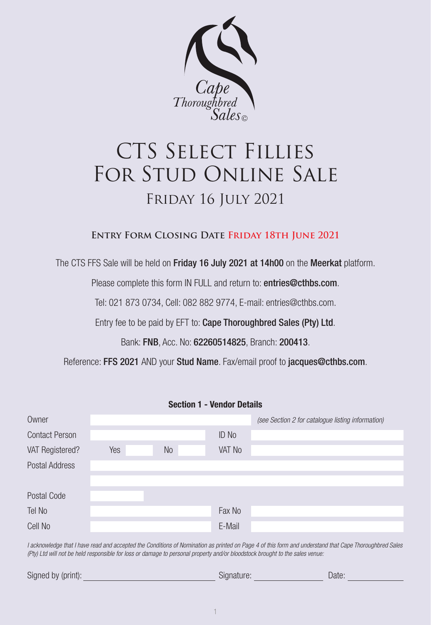

# CTS SELECT FILLIES FOR STUD ONLINE SALE Friday 16 July 2021

# **Entry Form Closing Date Friday 18th June 2021**

The CTS FFS Sale will be held on Friday 16 July 2021 at 14h00 on the Meerkat platform.

Please complete this form IN FULL and return to: entries@cthbs.com.

Tel: 021 873 0734, Cell: 082 882 9774, E-mail: entries@cthbs.com.

Entry fee to be paid by EFT to: Cape Thoroughbred Sales (Pty) Ltd.

Bank: FNB, Acc. No: 62260514825, Branch: 200413.

Reference: FFS 2021 AND your Stud Name. Fax/email proof to jacques@cthbs.com.

**Section 1 - Vendor Details**

| Section 1 - vendor Details |     |           |              |                                                   |  |
|----------------------------|-----|-----------|--------------|---------------------------------------------------|--|
| Owner                      |     |           |              | (see Section 2 for catalogue listing information) |  |
| <b>Contact Person</b>      |     |           | <b>ID No</b> |                                                   |  |
| VAT Registered?            | Yes | <b>No</b> | VAT No       |                                                   |  |
| Postal Address             |     |           |              |                                                   |  |
|                            |     |           |              |                                                   |  |
| Postal Code                |     |           |              |                                                   |  |
| Tel No                     |     |           | Fax No       |                                                   |  |
| Cell No                    |     |           | E-Mail       |                                                   |  |

*I acknowledge that I have read and accepted the Conditions of Nomination as printed on Page 4 of this form and understand that Cape Thoroughbred Sales (Pty) Ltd will not be held responsible for loss or damage to personal property and/or bloodstock brought to the sales venue:*

| Signed by (print): | Siuriature. |  |
|--------------------|-------------|--|
|                    |             |  |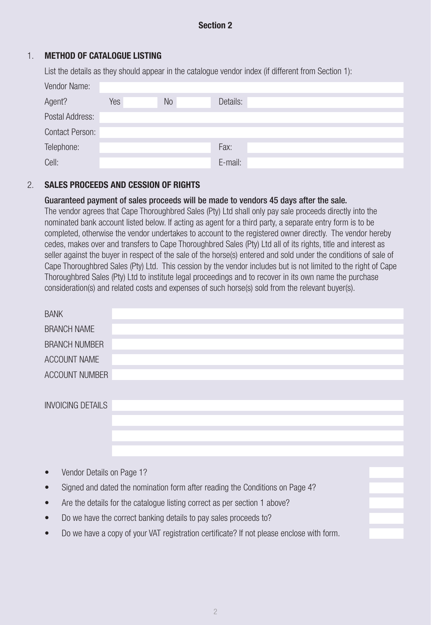# **Section 2**

## 1. **METHOD OF CATALOGUE LISTING**

List the details as they should appear in the catalogue vendor index (if different from Section 1):

| Vendor Name:           |     |    |          |
|------------------------|-----|----|----------|
| Agent?                 | Yes | No | Details: |
| Postal Address:        |     |    |          |
| <b>Contact Person:</b> |     |    |          |
| Telephone:             |     |    | Fax:     |
| Cell:                  |     |    | E-mail:  |

## 2. **SALES PROCEEDS AND CESSION OF RIGHTS**

### Guaranteed payment of sales proceeds will be made to vendors 45 days after the sale.

The vendor agrees that Cape Thoroughbred Sales (Pty) Ltd shall only pay sale proceeds directly into the nominated bank account listed below. If acting as agent for a third party, a separate entry form is to be completed, otherwise the vendor undertakes to account to the registered owner directly. The vendor hereby cedes, makes over and transfers to Cape Thoroughbred Sales (Pty) Ltd all of its rights, title and interest as seller against the buyer in respect of the sale of the horse(s) entered and sold under the conditions of sale of Cape Thoroughbred Sales (Pty) Ltd. This cession by the vendor includes but is not limited to the right of Cape Thoroughbred Sales (Pty) Ltd to institute legal proceedings and to recover in its own name the purchase consideration(s) and related costs and expenses of such horse(s) sold from the relevant buyer(s).

| <b>BANK</b>              |  |  |
|--------------------------|--|--|
|                          |  |  |
| <b>BRANCH NAME</b>       |  |  |
|                          |  |  |
| <b>BRANCH NUMBER</b>     |  |  |
|                          |  |  |
| ACCOUNT NAME             |  |  |
|                          |  |  |
| ACCOUNT NUMBER           |  |  |
|                          |  |  |
|                          |  |  |
| <b>INVOICING DETAILS</b> |  |  |
|                          |  |  |
|                          |  |  |
|                          |  |  |
|                          |  |  |
|                          |  |  |
|                          |  |  |
|                          |  |  |
|                          |  |  |

- Vendor Details on Page 1?
- Signed and dated the nomination form after reading the Conditions on Page 4?
- Are the details for the catalogue listing correct as per section 1 above?
- Do we have the correct banking details to pay sales proceeds to?
- Do we have a copy of your VAT registration certificate? If not please enclose with form.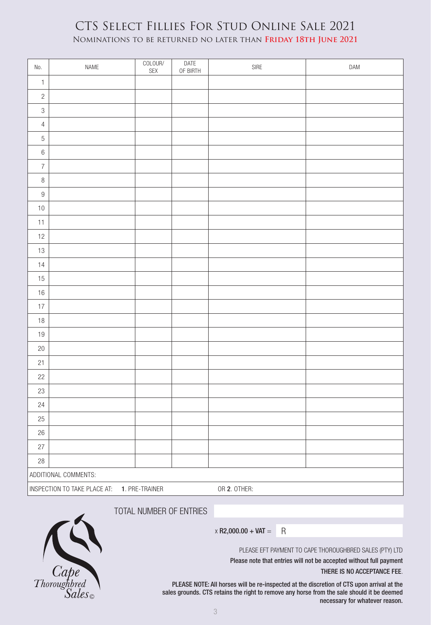# CTS Select Fillies For Stud Online Sale 2021 Nominations to be returned no later than **Friday 18th June 2021**

| No.                                                            | NAME | COLOUR/<br>SEX | DATE<br>OF BIRTH | ${\sf SIRE}$ | DAM |
|----------------------------------------------------------------|------|----------------|------------------|--------------|-----|
| $\mathbbm{1}$                                                  |      |                |                  |              |     |
| $\sqrt{2}$                                                     |      |                |                  |              |     |
| $\mathfrak{S}$                                                 |      |                |                  |              |     |
| $\sqrt{4}$                                                     |      |                |                  |              |     |
| $\mathbf 5$                                                    |      |                |                  |              |     |
| $\,6\,$                                                        |      |                |                  |              |     |
| $\overline{7}$                                                 |      |                |                  |              |     |
| $\,8\,$                                                        |      |                |                  |              |     |
| $\boldsymbol{9}$                                               |      |                |                  |              |     |
| $10$                                                           |      |                |                  |              |     |
| 11                                                             |      |                |                  |              |     |
| 12                                                             |      |                |                  |              |     |
| 13                                                             |      |                |                  |              |     |
| 14                                                             |      |                |                  |              |     |
| 15                                                             |      |                |                  |              |     |
| $16\,$                                                         |      |                |                  |              |     |
| $17$                                                           |      |                |                  |              |     |
| $18\,$                                                         |      |                |                  |              |     |
| $19$                                                           |      |                |                  |              |     |
| $20\,$                                                         |      |                |                  |              |     |
| 21                                                             |      |                |                  |              |     |
| 22                                                             |      |                |                  |              |     |
| 23                                                             |      |                |                  |              |     |
| 24                                                             |      |                |                  |              |     |
| 25                                                             |      |                |                  |              |     |
| $26\,$                                                         |      |                |                  |              |     |
| 27                                                             |      |                |                  |              |     |
| 28                                                             |      |                |                  |              |     |
| ADDITIONAL COMMENTS:                                           |      |                |                  |              |     |
| OR 2. OTHER:<br>INSPECTION TO TAKE PLACE AT:<br>1. PRE-TRAINER |      |                |                  |              |     |

TOTAL NUMBER OF ENTRIES



 $\times$  R2,000.00 + VAT = R

PLEASE EFT PAYMENT TO CAPE THOROUGHBRED SALES (PTY) LTD

Please note that entries will not be accepted without full payment THERE IS NO ACCEPTANCE FEE.

PLEASE NOTE: All horses will be re-inspected at the discretion of CTS upon arrival at the sales grounds. CTS retains the right to remove any horse from the sale should it be deemed necessary for whatever reason.